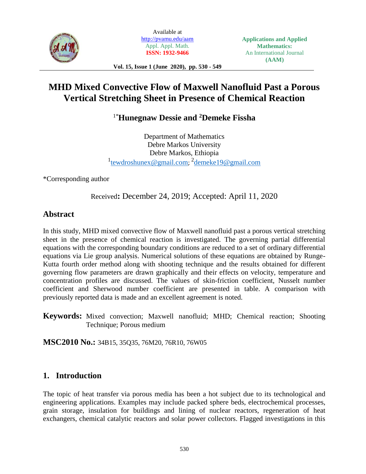

Available at <http://pvamu.edu/aam> Appl. Appl. Math. **ISSN: 1932-9466**

**Vol. 15, Issue 1 (June 2020), pp. 530 - 549**

# **MHD Mixed Convective Flow of Maxwell Nanofluid Past a Porous Vertical Stretching Sheet in Presence of Chemical Reaction**

1\***Hunegnaw Dessie and <sup>2</sup>Demeke Fissha**

Department of Mathematics Debre Markos University Debre Markos, Ethiopia <sup>1</sup>[tewdroshunex@gmail.com](mailto:tewdroshunex@gmail.com); <sup>2</sup>[demeke19@gmail.com](mailto:demeke19@gmail.com2)

\*Corresponding author

Received**:** December 24, 2019; Accepted: April 11, 2020

# **Abstract**

In this study, MHD mixed convective flow of Maxwell nanofluid past a porous vertical stretching sheet in the presence of chemical reaction is investigated. The governing partial differential equations with the corresponding boundary conditions are reduced to a set of ordinary differential equations via Lie group analysis. Numerical solutions of these equations are obtained by Runge-Kutta fourth order method along with shooting technique and the results obtained for different governing flow parameters are drawn graphically and their effects on velocity, temperature and concentration profiles are discussed. The values of skin-friction coefficient, Nusselt number coefficient and Sherwood number coefficient are presented in table. A comparison with previously reported data is made and an excellent agreement is noted.

**Keywords:** Mixed convection; Maxwell nanofluid; MHD; Chemical reaction; Shooting Technique; Porous medium

**MSC2010 No.:** 34B15, 35Q35, 76M20, 76R10, 76W05

# **1. Introduction**

The topic of heat transfer via porous media has been a hot subject due to its technological and engineering applications. Examples may include packed sphere beds, electrochemical processes, grain storage, insulation for buildings and lining of nuclear reactors, regeneration of heat exchangers, chemical catalytic reactors and solar power collectors. Flagged investigations in this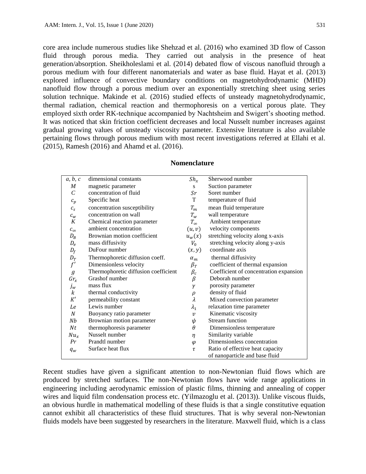core area include numerous studies like Shehzad et al. (2016) who examined 3D flow of Casson fluid through porous media. They carried out analysis in the presence of heat generation/absorption. Sheikholeslami et al. (2014) debated flow of viscous nanofluid through a porous medium with four different nanomaterials and water as base fluid. Hayat et al. (2013) explored influence of convective boundary conditions on magnetohydrodynamic (MHD) nanofluid flow through a porous medium over an exponentially stretching sheet using series solution technique. Makinde et al. (2016) studied effects of unsteady magnetohydrodynamic, thermal radiation, chemical reaction and thermophoresis on a vertical porous plate. They employed sixth order RK-technique accompanied by Nachtsheim and Swigert's shooting method. It was noticed that skin friction coefficient decreases and local Nusselt number increases against gradual growing values of unsteady viscosity parameter. Extensive literature is also available pertaining flows through porous medium with most recent investigations referred at Ellahi et al. (2015), Ramesh (2016) and Ahamd et al. (2016).

| a, b, c          | dimensional constants                | $Sh_x$           | Sherwood number                        |
|------------------|--------------------------------------|------------------|----------------------------------------|
| $\boldsymbol{M}$ | magnetic parameter                   | S                | Suction parameter                      |
| C                | concentration of fluid               | Sr               | Soret number                           |
| $c_p$            | Specific heat                        | T                | temperature of fluid                   |
| $\mathcal{C}_S$  | concentration susceptibility         | $T_m$            | mean fluid temperature                 |
| $c_w$            | concentration on wall                | $T_w$            | wall temperature                       |
| K                | Chemical reaction parameter          | $T_{\infty}$     | Ambient temperature                    |
| $c_{\infty}$     | ambient concentration                | (u, v)           | velocity components                    |
| $D_B$            | Brownian motion coefficient          | $u_w(x)$         | stretching velocity along x-axis       |
| $D_e$            | mass diffusivity                     | $V_0$            | stretching velocity along y-axis       |
| $D_f$            | DuFour number                        | (x, y)           | coordinate axis                        |
| $D_T$            | Thermophoretic diffusion coeff.      | $\alpha_m$       | thermal diffusivity                    |
| f'               | Dimensionless velocity               | $\beta_T$        | coefficient of thermal expansion       |
| $\boldsymbol{g}$ | Thermophoretic diffusion coefficient | $\beta_c$        | Coefficient of concentration expansion |
| $Gr_x$           | Grashof number                       | $\beta$          | Deborah number                         |
| $j_w$            | mass flux                            | γ                | porosity parameter                     |
| k                | thermal conductivity                 | $\rho$           | density of fluid                       |
| K'               | permeability constant                | λ                | Mixed convection parameter             |
| Le               | Lewis number                         | $\lambda_1$      | relaxation time parameter              |
| $\cal N$         | Buoyancy ratio parameter             | $\boldsymbol{v}$ | Kinematic viscosity                    |
| Nb               | Brownian motion parameter            | ψ                | <b>Stream</b> function                 |
| Nt               | thermophoresis parameter             | θ                | Dimensionless temperature              |
| $Nu_x$           | Nusselt number                       | η                | Similarity variable                    |
| Pr               | Prandtl number                       | $\varphi$        | Dimensionless concentration            |
| $q_w$            | Surface heat flux                    | τ                | Ratio of effective heat capacity       |
|                  |                                      |                  | of nanoparticle and base fluid         |

#### **Nomenclature**

Recent studies have given a significant attention to non-Newtonian fluid flows which are produced by stretched surfaces. The non-Newtonian flows have wide range applications in engineering including aerodynamic emission of plastic films, thinning and annealing of copper wires and liquid film condensation process etc. (Yilmazoglu et al. (2013)). Unlike viscous fluids, an obvious hurdle in mathematical modelling of these fluids is that a single constitutive equation cannot exhibit all characteristics of these fluid structures. That is why several non-Newtonian fluids models have been suggested by researchers in the literature. Maxwell fluid, which is a class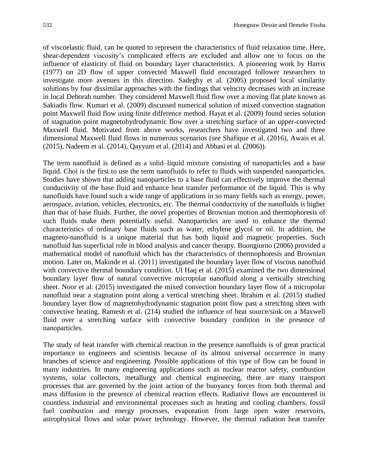of viscoelastic fluid, can be quoted to represent the characteristics of fluid relaxation time. Here, shear-dependent viscosity's complicated effects are excluded and allow one to focus on the influence of elasticity of fluid on boundary layer characteristics. A pioneering work by Harris (1977) on 2D flow of upper convected Maxwell fluid encouraged follower researchers to investigate more avenues in this direction. Sadeghy et al. (2005) proposed local similarity solutions by four dissimilar approaches with the findings that velocity decreases with an increase in local Deborah number. They considered Maxwell fluid flow over a moving flat plate known as Sakiadis flow. Kumari et al. (2009) discussed numerical solution of mixed convection stagnation point Maxwell fluid flow using finite difference method. Hayat et al. (2009) found series solution of stagnation point magnetohydrodynamic flow over a stretching surface of an upper-convected Maxwell fluid. Motivated from above works, researchers have investigated two and three dimensional Maxwell fluid flows in numerous scenarios (see Shafique et al. (2016), Awais et al. (2015), Nadeem et al. (2014), Qayyum et al. (2014) and Abbasi et al. (2006)).

The term nanofluid is defined as a solid–liquid mixture consisting of nanoparticles and a base liquid. Choi is the first to use the term nanofluids to refer to fluids with suspended nanoparticles. Studies have shown that adding nanoparticles to a base fluid can effectively improve the thermal conductivity of the base fluid and enhance heat transfer performance of the liquid. This is why nanofluids have found such a wide range of applications in so many fields such as energy, power, aerospace, aviation, vehicles, electronics, etc. The thermal conductivity of the nanofluids is higher than that of base fluids. Further, the novel properties of Brownian motion and thermophoresis of such fluids make them potentially useful. Nanoparticles are used to enhance the thermal characteristics of ordinary base fluids such as water, ethylene glycol or oil. In addition, the magneto-nanofluid is a unique material that has both liquid and magnetic properties. Such nanofluid has superficial role in blood analysis and cancer therapy. Buongiorno (2006) provided a mathematical model of nanofluid which has the characteristics of thermophoresis and Brownian motion. Later on, Makinde et al. (2011) investigated the boundary layer flow of viscous nanofluid with convective thermal boundary condition. Ul Haq et al. (2015) examined the two dimensional boundary layer flow of natural convective micropolar nanofluid along a vertically stretching sheet. Noor et al. (2015) investigated the mixed convection boundary layer flow of a micropolar nanofluid near a stagnation point along a vertical stretching sheet. Ibrahim et al. (2015) studied boundary layer flow of magnetohydrodynamic stagnation point flow past a stretching sheet with convective heating. Ramesh et al. (214) studied the influence of heat source/sink on a Maxwell fluid over a stretching surface with convective boundary condition in the presence of nanoparticles.

The study of heat transfer with chemical reaction in the presence nanofluids is of great practical importance to engineers and scientists because of its almost universal occurrence in many branches of science and engineering. Possible applications of this type of flow can be found in many industries. In many engineering applications such as nuclear reactor safety, combustion systems, solar collectors, metallurgy and chemical engineering, there are many transport processes that are governed by the joint action of the buoyancy forces from both thermal and mass diffusion in the presence of chemical reaction effects. Radiative flows are encountered in countless industrial and environmental processes such as heating and cooling chambers, fossil fuel combustion and energy processes, evaporation from large open water reservoirs, astrophysical flows and solar power technology. However, the thermal radiation heat transfer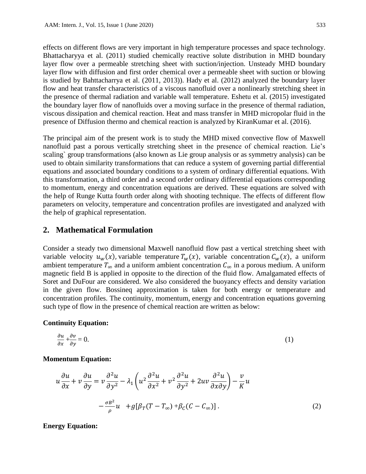effects on different flows are very important in high temperature processes and space technology. Bhattacharyya et al. (2011) studied chemically reactive solute distribution in MHD boundary layer flow over a permeable stretching sheet with suction/injection. Unsteady MHD boundary layer flow with diffusion and first order chemical over a permeable sheet with suction or blowing is studied by Bahttacharrya et al. (2011, 2013)). Hady et al. (2012) analyzed the boundary layer flow and heat transfer characteristics of a viscous nanofluid over a nonlinearly stretching sheet in the presence of thermal radiation and variable wall temperature. Eshetu et al. (2015) investigated the boundary layer flow of nanofluids over a moving surface in the presence of thermal radiation, viscous dissipation and chemical reaction. Heat and mass transfer in MHD micropolar fluid in the presence of Diffusion thermo and chemical reaction is analyzed by KiranKumar et al. (2016).

The principal aim of the present work is to study the MHD mixed convective flow of Maxwell nanofluid past a porous vertically stretching sheet in the presence of chemical reaction. Lie's scaling` group transformations (also known as Lie group analysis or as symmetry analysis) can be used to obtain similarity transformations that can reduce a system of governing partial differential equations and associated boundary conditions to a system of ordinary differential equations. With this transformation, a third order and a second order ordinary differential equations corresponding to momentum, energy and concentration equations are derived. These equations are solved with the help of Runge Kutta fourth order along with shooting technique. The effects of different flow parameters on velocity, temperature and concentration profiles are investigated and analyzed with the help of graphical representation.

# **2. Mathematical Formulation**

Consider a steady two dimensional Maxwell nanofluid flow past a vertical stretching sheet with variable velocity  $u_w(x)$ , variable temperature  $T_w(x)$ , variable concentration  $C_w(x)$ , a uniform ambient temperature  $T_{\infty}$  and a uniform ambient concentration  $C_{\infty}$  in a porous medium. A uniform magnetic field B is applied in opposite to the direction of the fluid flow. Amalgamated effects of Soret and DuFour are considered. We also considered the buoyancy effects and density variation in the given flow. Bossineq approximation is taken for both energy or temperature and concentration profiles. The continuity, momentum, energy and concentration equations governing such type of flow in the presence of chemical reaction are written as below:

#### **Continuity Equation:**

$$
\frac{\partial u}{\partial x} + \frac{\partial v}{\partial y} = 0. \tag{1}
$$

#### **Momentum Equation:**

$$
u\frac{\partial u}{\partial x} + v\frac{\partial u}{\partial y} = v\frac{\partial^2 u}{\partial y^2} - \lambda_1 \left( u^2 \frac{\partial^2 u}{\partial x^2} + v^2 \frac{\partial^2 u}{\partial y^2} + 2uv \frac{\partial^2 u}{\partial x \partial y} \right) - \frac{v}{K} u
$$

$$
- \frac{\sigma B^2}{\rho} u + g[\beta_T (T - T_\infty) + \beta_C (C - C_\infty)].
$$
 (2)

**Energy Equation:**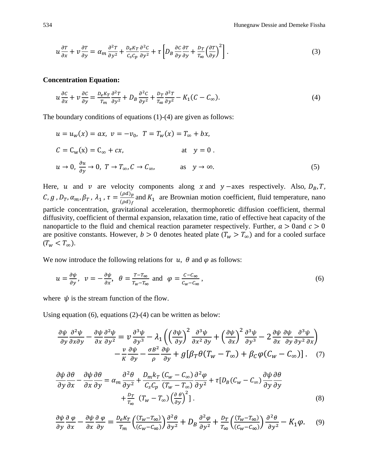$$
u\frac{\partial r}{\partial x} + v\frac{\partial r}{\partial y} = \alpha_m \frac{\partial^2 r}{\partial y^2} + \frac{D_e K_T}{C_s C_p} \frac{\partial^2 c}{\partial y^2} + \tau \left[ D_B \frac{\partial c}{\partial y} \frac{\partial r}{\partial y} + \frac{D_T}{T_\infty} \left( \frac{\partial r}{\partial y} \right)^2 \right].
$$
 (3)

#### **Concentration Equation:**

$$
u\frac{\partial c}{\partial x} + v\frac{\partial c}{\partial y} = \frac{D_e K_T}{T_m} \frac{\partial^2 T}{\partial y^2} + D_B \frac{\partial^2 C}{\partial y^2} + \frac{D_T}{T_\infty} \frac{\partial^2 T}{\partial y^2} - K_1 (C - C_\infty). \tag{4}
$$

The boundary conditions of equations (1)-(4) are given as follows:

$$
u = u_w(x) = ax, \ v = -v_0, \ T = T_w(x) = T_{\infty} + bx,
$$
  
\n
$$
C = C_w(x) = C_{\infty} + cx,
$$
 at  $y = 0$ .  
\n
$$
u \to 0, \ \frac{\partial u}{\partial y} \to 0, \ T \to T_{\infty}, C \to C_{\infty},
$$
 as  $y \to \infty$ . (5)

Here, u and v are velocity components along x and  $y$  –axes respectively. Also,  $D_B$ , T,  $(\mathcal{C}, g$  ,  $D_T$ ,  $\alpha_m$ ,  $\beta_T$  ,  $\lambda_1$  ,  $\tau = \frac{(\rho d)_p}{(\rho d)_s}$  $\frac{\partial u_{j_p}}{\partial u_{j_f}}$  and  $K_1$  are Brownian motion coefficient, fluid temperature, nano particle concentration, gravitational acceleration, thermophoretic diffusion coefficient, thermal diffusivity, coefficient of thermal expansion, relaxation time, ratio of effective heat capacity of the nanoparticle to the fluid and chemical reaction parameter respectively. Further,  $a > 0$  and  $c > 0$ are positive constants. However,  $b > 0$  denotes heated plate  $(T_w > T_{\infty})$  and for a cooled surface  $(T_w < T_\infty).$ 

We now introduce the following relations for  $u$ ,  $\theta$  and  $\varphi$  as follows:

$$
u = \frac{\partial \psi}{\partial y}, \quad \nu = -\frac{\partial \psi}{\partial x}, \quad \theta = \frac{T - T_{\infty}}{T_w - T_{\infty}} \text{ and } \quad \varphi = \frac{C - C_{\infty}}{C_w - C_{\infty}}, \tag{6}
$$

where  $\psi$  is the stream function of the flow.

Using equation (6), equations (2)-(4) can be written as below:

$$
\frac{\partial \psi}{\partial y} \frac{\partial^2 \psi}{\partial x \partial y} - \frac{\partial \psi}{\partial x} \frac{\partial^2 \psi}{\partial y^2} = \nu \frac{\partial^3 \psi}{\partial y^3} - \lambda_1 \left( \left( \frac{\partial \psi}{\partial y} \right)^2 \frac{\partial^3 \psi}{\partial x^2 \partial y} + \left( \frac{\partial \psi}{\partial x} \right)^2 \frac{\partial^3 \psi}{\partial y^3} - 2 \frac{\partial \psi}{\partial x} \frac{\partial \psi}{\partial y} \frac{\partial^3 \psi}{\partial y^2 \partial x} \right) - \frac{\nu}{K} \frac{\partial \psi}{\partial y} - \frac{\sigma B^2}{\rho} \frac{\partial \psi}{\partial y} + g \left[ \beta_T \theta (T_w - T_\infty) + \beta_C \varphi (C_w - C_\infty) \right]. \tag{7}
$$

$$
\frac{\partial \psi}{\partial y} \frac{\partial \theta}{\partial x} - \frac{\partial \psi}{\partial x} \frac{\partial \theta}{\partial y} = \alpha_m \frac{\partial^2 \theta}{\partial y^2} + \frac{D_m k_T}{C_S C_p} \frac{(C_w - C_\infty)}{(T_w - T_\infty)} \frac{\partial^2 \varphi}{\partial y^2} + \tau [D_B (C_w - C_\infty) \frac{\partial \psi}{\partial y} \frac{\partial \theta}{\partial y} + \frac{D_T}{T_\infty} (T_w - T_\infty) \left(\frac{\partial \theta}{\partial y}\right)^2].
$$
\n(8)

$$
\frac{\partial \psi}{\partial y} \frac{\partial \varphi}{\partial x} - \frac{\partial \psi}{\partial x} \frac{\partial \varphi}{\partial y} = \frac{D_e K_T}{T_m} \left( \frac{(T_w - T_\infty)}{(C_w - C_\infty)} \right) \frac{\partial^2 \theta}{\partial y^2} + D_B \frac{\partial^2 \varphi}{\partial y^2} + \frac{D_T}{T_\infty} \left( \frac{(T_w - T_\infty)}{(C_w - C_\infty)} \right) \frac{\partial^2 \theta}{\partial y^2} - K_1 \varphi. \tag{9}
$$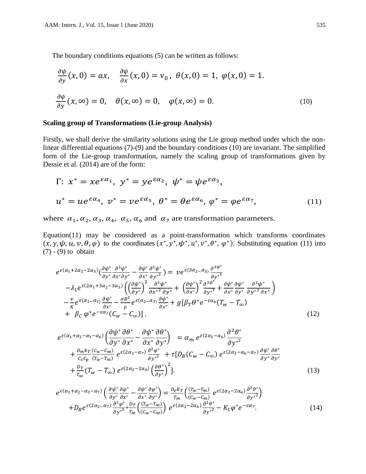The boundary conditions equations (5) can be written as follows:

$$
\frac{\partial \psi}{\partial y}(x,0) = ax, \quad \frac{\partial \psi}{\partial x}(x,0) = v_0, \ \theta(x,0) = 1, \ \varphi(x,0) = 1.
$$
  

$$
\frac{\partial \psi}{\partial y}(x,\infty) = 0, \quad \theta(x,\infty) = 0, \quad \varphi(x,\infty) = 0.
$$
 (10)

#### **Scaling group of Transformations (Lie-group Analysis)**

Firstly, we shall derive the similarity solutions using the Lie group method under which the nonlinear differential equations (7)-(9) and the boundary conditions (10) are invariant. The simplified form of the Lie-group transformation, namely the scaling group of transformations given by Dessie et al. (2014) are of the form:

$$
\Gamma: x^* = xe^{\varepsilon \alpha_1}, y^* = ye^{\varepsilon \alpha_2}, \psi^* = \psi e^{\varepsilon \alpha_3},
$$
  

$$
u^* = ue^{\varepsilon \alpha_4}, v^* = ve^{\varepsilon \alpha_5}, \theta^* = \theta e^{\varepsilon \alpha_6}, \varphi^* = \varphi e^{\varepsilon \alpha_7}, \tag{11}
$$

where  $\alpha_1, \alpha_2, \alpha_3, \alpha_4, \alpha_5, \alpha_6$  and  $\alpha_7$  are transformation parameters.

Equation(11) may be considered as a point-transformation which transforms coordinates  $(x, y, \psi, u, v, \theta, \varphi)$  to the coordinates  $(x^*, y^*, \psi^*, u^*, v^*, \theta^*, \varphi^*)$ . Substituting equation (11) into (7) - (9) to obtain

$$
e^{\varepsilon(\alpha_1+2\alpha_2-2\alpha_3)}\left(\frac{\partial\psi^*}{\partial y^*}\frac{\partial^2\psi^*}{\partial x^*\partial y^*}-\frac{\partial\psi^*}{\partial x^*}\frac{\partial^2\psi^*}{\partial y^*^2}\right)=\nu e^{\varepsilon(3\alpha_2-\alpha_3)}\frac{\partial^{3}\psi^*}{\partial y^*^3}
$$

$$
-\lambda_1 e^{\varepsilon(2\alpha_1+3\alpha_2-3\alpha_3)}\left(\left(\frac{\partial\psi^*}{\partial y^*}\right)^2\frac{\partial^3\psi^*}{\partial x^*^2\partial y^*}+\left(\frac{\partial\psi^*}{\partial x^*}\right)^2\frac{\partial^{3}\psi^*}{\partial y^*^3}+\frac{\partial\psi^*}{\partial x^*}\frac{\partial^3\psi^*}{\partial y^*}\frac{\partial^3\psi^*}{\partial y^*^2\partial x^*}\right)
$$

$$
-\frac{\nu}{\kappa} e^{\varepsilon(\alpha_2-\alpha_3)}\frac{\partial\psi^*}{\partial x^*}-\frac{\sigma B^2}{\rho} e^{\varepsilon(\alpha_2-\alpha_3)}\frac{\partial\psi^*}{\partial x^*}+g[\beta_T\theta^*e^{-\varepsilon\alpha_6}(T_w-T_\infty)
$$

$$
+\beta_C\varphi^*e^{-\varepsilon\alpha_7}(C_w-C_\infty)].
$$
(12)

$$
e^{\varepsilon(\alpha_1 + \alpha_2 - \alpha_3 - \alpha_6)} \left( \frac{\partial \psi^*}{\partial y^*} \frac{\partial \theta^*}{\partial x^*} - \frac{\partial \psi^*}{\partial x^*} \frac{\partial \theta^*}{\partial y^*} \right) = \alpha_m e^{\varepsilon(2\alpha_2 - \alpha_6)} \frac{\partial^2 \theta^*}{\partial y^{*2}} + \frac{D_m k_T}{c_s c_p} \frac{(c_w - c_\infty)}{(T_w - T_\infty)} e^{\varepsilon(2\alpha_2 - \alpha_7)} \frac{\partial^2 \varphi^*}{\partial y^{*2}} + \tau [D_B (C_w - C_\infty) e^{\varepsilon(2\alpha_2 - \alpha_6 - \alpha_7)} \frac{\partial \psi^*}{\partial y^*} \frac{\partial \theta^*}{\partial y^*} + \frac{D_T}{T_\infty} (T_w - T_\infty) e^{\varepsilon(2\alpha_2 - 2\alpha_6)} \left( \frac{\partial \theta^*}{\partial y^*} \right)^2].
$$
\n(13)

$$
e^{\varepsilon(\alpha_1 + \alpha_2 - \alpha_3 - \alpha_7)} \left( \frac{\partial \psi^*}{\partial y^*} \frac{\partial \varphi^*}{\partial x^*} - \frac{\partial \psi^*}{\partial x^*} \frac{\partial \varphi^*}{\partial y^*} \right) = \frac{D_e K_T}{T_m} \left( \frac{(T_w - T_\infty)}{(C_w - C_\infty)} e^{\varepsilon(2\alpha_2 - 2\alpha_6)} \frac{\partial^2 \theta^*}{\partial y^*^2} \right) + D_B e^{\varepsilon(2\alpha_2 - \alpha_7)} \frac{\partial^2 \varphi^*}{\partial y^*^2} + \frac{D_T}{T_\infty} \left( \frac{(T_w - T_\infty)}{(C_w - C_\infty)} \right) e^{\varepsilon(2\alpha_2 - 2\alpha_6)} \frac{\partial^2 \theta^*}{\partial y^*^2} - K_1 \varphi^* e^{-\varepsilon \alpha_7}.
$$
(14)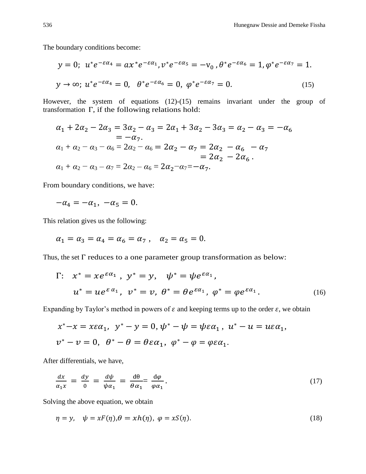The boundary conditions become:

$$
y = 0; \ u^* e^{-\varepsilon \alpha_4} = a x^* e^{-\varepsilon \alpha_1}, v^* e^{-\varepsilon \alpha_5} = -v_0, \ \theta^* e^{-\varepsilon \alpha_6} = 1, \ \varphi^* e^{-\varepsilon \alpha_7} = 1.
$$
  

$$
y \to \infty; \ u^* e^{-\varepsilon \alpha_4} = 0, \ \ \theta^* e^{-\varepsilon \alpha_6} = 0, \ \varphi^* e^{-\varepsilon \alpha_7} = 0.
$$
 (15)

However, the system of equations (12)-(15) remains invariant under the group of transformation Γ, if the following relations hold:

$$
\alpha_1 + 2\alpha_2 - 2\alpha_3 = 3\alpha_2 - \alpha_3 = 2\alpha_1 + 3\alpha_2 - 3\alpha_3 = \alpha_2 - \alpha_3 = -\alpha_6
$$
  
\n
$$
= -\alpha_7.
$$
  
\n
$$
\alpha_1 + \alpha_2 - \alpha_3 - \alpha_6 = 2\alpha_2 - \alpha_6 = 2\alpha_2 - \alpha_7 = 2\alpha_2 - \alpha_6 - \alpha_7
$$
  
\n
$$
= 2\alpha_2 - 2\alpha_6.
$$
  
\n
$$
\alpha_1 + \alpha_2 - \alpha_3 - \alpha_7 = 2\alpha_2 - \alpha_6 = 2\alpha_2 - \alpha_7 = -\alpha_7.
$$

From boundary conditions, we have:

$$
-\alpha_4=-\alpha_1, \ -\alpha_5=0.
$$

This relation gives us the following:

$$
\alpha_1 = \alpha_3 = \alpha_4 = \alpha_6 = \alpha_7
$$
,  $\alpha_2 = \alpha_5 = 0$ .

Thus, the set Γ reduces to a one parameter group transformation as below:

$$
\Gamma: \quad x^* = xe^{\varepsilon \alpha_1} \,, \quad y^* = y, \quad \psi^* = \psi e^{\varepsilon \alpha_1},
$$
\n
$$
u^* = ue^{\varepsilon \alpha_1}, \quad v^* = v, \quad \theta^* = \theta e^{\varepsilon \alpha_1}, \quad \phi^* = \phi e^{\varepsilon \alpha_1}.
$$
\n
$$
(16)
$$

Expanding by Taylor's method in powers of  $\varepsilon$  and keeping terms up to the order  $\varepsilon$ , we obtain

$$
x^*-x = x\varepsilon\alpha_1, \quad y^*-y = 0, \quad \psi^* - \psi = \psi\varepsilon\alpha_1, \quad u^* - u = u\varepsilon\alpha_1,
$$
  

$$
v^* - v = 0, \quad \theta^* - \theta = \theta\varepsilon\alpha_1, \quad \varphi^* - \varphi = \varphi\varepsilon\alpha_1.
$$

After differentials, we have,

$$
\frac{dx}{\alpha_1 x} = \frac{dy}{0} = \frac{d\psi}{\psi \alpha_1} = \frac{d\theta}{\theta \alpha_1} = \frac{d\varphi}{\varphi \alpha_1}.
$$
\n(17)

Solving the above equation, we obtain

$$
\eta = y, \quad \psi = xF(\eta), \theta = xh(\eta), \quad \varphi = xS(\eta). \tag{18}
$$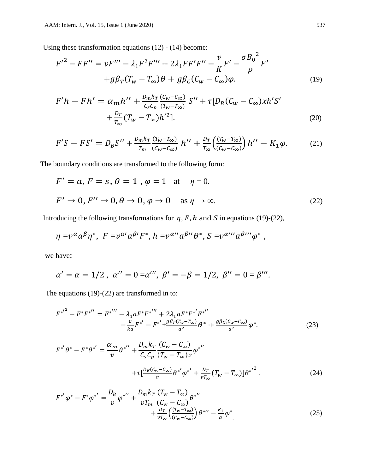Using these transformation equations (12) - (14) become:

$$
F'^{2} - FF'' = vF''' - \lambda_{1}F^{2}F''' + 2\lambda_{1}FF'F'' - \frac{v}{K}F' - \frac{\sigma B_{0}^{2}}{\rho}F' + g\beta_{T}(T_{w} - T_{\infty})\theta + g\beta_{C}(C_{w} - C_{\infty})\varphi.
$$
\n(19)

$$
F'h - Fh' = \alpha_m h'' + \frac{D_m k_T}{C_S C_p} \frac{(C_W - C_\infty)}{(T_W - T_\infty)} S'' + \tau [D_B (C_W - C_\infty) x h' S' + \frac{D_T}{T_\infty} (T_W - T_\infty) h'^2].
$$
\n(20)

$$
F'S - FS' = D_B S'' + \frac{D_m k_T}{T_m} \frac{(T_w - T_\infty)}{(C_w - C_\infty)} h'' + \frac{D_T}{T_\infty} \left( \frac{(T_w - T_\infty)}{(C_w - C_\infty)} \right) h'' - K_1 \varphi. \tag{21}
$$

The boundary conditions are transformed to the following form:

$$
F' = a, F = s, \theta = 1, \varphi = 1 \text{ at } \eta = 0.
$$
  

$$
F' \to 0, F'' \to 0, \theta \to 0, \varphi \to 0 \text{ as } \eta \to \infty.
$$
 (22)

Introducing the following transformations for  $\eta$ , F, h and S in equations (19)-(22),

$$
\eta = v^{\alpha} a^{\beta} \eta^*, \ F = v^{\alpha} a^{\beta} F^*, \ h = v^{\alpha} a^{\beta} B^{\prime\prime} \theta^*, \ S = v^{\alpha} C^{\prime\prime} a^{\beta} C^{\prime\prime} \phi^*,
$$

we have:

$$
\alpha' = \alpha = 1/2
$$
,  $\alpha'' = 0 = \alpha'''$ ,  $\beta' = -\beta = 1/2$ ,  $\beta'' = 0 = \beta'''$ .

The equations (19)-(22) are transformed in to:

$$
{F^*}^{r^2} - F^*{F^*}^{''} = F^{*}^{'''} - \lambda_1 a F^* {F^*}^{''} + 2\lambda_1 a F^* {F^*}^{'} {F^*}^{''} - \frac{v}{ka} {F^*}^{'} - F^{*'} + \frac{g\beta_T (T_w - T_\infty)}{a^2} \theta^* + \frac{g\beta_C (C_w - C_\infty)}{a^2} \varphi^*.
$$
 (23)

$$
F^{*'}\theta^* - F^*\theta^{*'} = \frac{\alpha_m}{v} \theta^{*''} + \frac{D_m k_T}{C_s C_p} \frac{(C_w - C_\infty)}{(T_w - T_\infty)v} \varphi^{*''}
$$
  
+ 
$$
\tau \left[ \frac{D_B (C_w - C_\infty)}{v} \theta^{*'} \varphi^{*'} + \frac{D_T}{v T_\infty} (T_w - T_\infty) \right] {\theta^{*'}}^2.
$$
 (24)

$$
F^{*'}\varphi^* - F^*\varphi^{*'} = \frac{D_B}{\nu}\varphi^{*''} + \frac{D_m k_T}{\nu T_m} \frac{(T_w - T_\infty)}{(C_w - C_\infty)} \theta^{*''} + \frac{D_T}{\nu T_\infty} \left(\frac{(T_w - T_\infty)}{(C_w - C_\infty)}\right) \theta^{*''} - \frac{K_1}{a} \varphi^*
$$
(25)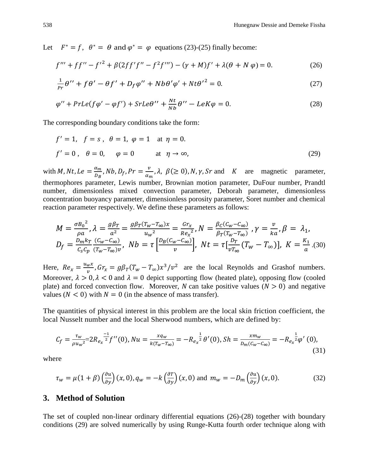Let  $F^* = f$ ,  $\theta^* = \theta$  and  $\varphi^* = \varphi$  equations (23)-(25) finally become:

$$
f''' + ff'' - {f'}^2 + \beta(2ff'f'' - f^2f''') - (\gamma + M)f' + \lambda(\theta + N\varphi) = 0.
$$
 (26)

$$
\frac{1}{pr}\theta^{\prime\prime} + f\theta^{\prime} - \theta f^{\prime} + D_f\varphi^{\prime\prime} + Nb\theta^{\prime}\varphi^{\prime} + Nt\theta^{\prime 2} = 0. \tag{27}
$$

$$
\varphi'' + PrLe(f\varphi' - \varphi f') + StrLe\theta'' + \frac{Nt}{Nb}\theta'' - LeK\varphi = 0.
$$
\n(28)

The corresponding boundary conditions take the form:

$$
f' = 1, \quad f = s, \quad \theta = 1, \quad \varphi = 1 \quad \text{at } \eta = 0.
$$
  

$$
f' = 0, \quad \theta = 0, \quad \varphi = 0 \quad \text{at } \eta \to \infty,
$$
 (29)

with *M*, *Nt*,  $Le = \frac{\alpha_m}{R}$  $\frac{\alpha_m}{D_B}$ , Nb, D<sub>f</sub>, Pr  $=\frac{v}{\alpha_n}$  $\frac{\nu}{\alpha_m}$ ,  $\lambda$ ,  $\beta \ge 0$ ,  $N$ ,  $\gamma$ ,  $Sr$  and  $K$  are magnetic parameter, thermophores parameter, Lewis number, Brownian motion parameter, DuFour number, Prandtl number, dimensionless mixed convection parameter, Deborah parameter, dimensionless concentration buoyancy parameter, dimensionless porosity parameter, Soret number and chemical reaction parameter respectively. We define these parameters as follows:

$$
M = \frac{\sigma B_0^2}{\rho a}, \lambda = \frac{g\beta_T}{a^2} = \frac{g\beta_T (T_w - T_\infty)x}{u_w^2} = \frac{Gr_x}{Re_x^2}, N = \frac{\beta_C (C_w - C_\infty)}{\beta_T (T_w - T_\infty)}, \gamma = \frac{v}{ka}, \beta = \lambda_1,
$$
  

$$
D_f = \frac{D_m k_T}{c_s c_p} \frac{(C_w - C_\infty)}{(T_w - T_\infty)v}, \ Nb = \tau \left[\frac{D_B (C_w - C_\infty)}{v}\right], \ Nt = \tau \left[\frac{D_T}{vT_\infty} (T_w - T_\infty)\right], \ K = \frac{K_1}{a}. (30)
$$

Here,  $Re_x = \frac{u_w x}{v_v}$  $\frac{w^{\chi}}{v}$ ,  $Gr_{\chi} = g\beta_T(T_w - T_{\infty})x^3/v^2$  are the local Reynolds and Grashof numbers. Moreover,  $\lambda > 0$ ,  $\lambda < 0$  and  $\lambda = 0$  depict supporting flow (heated plate), opposing flow (cooled plate) and forced convection flow. Moreover, N can take positive values ( $N > 0$ ) and negative values  $(N < 0)$  with  $N = 0$  (in the absence of mass transfer).

The quantities of physical interest in this problem are the local skin friction coefficient, the local Nusselt number and the local Sherwood numbers, which are defined by:

$$
C_f = \frac{\tau_w}{\rho u_w^2} = 2R_{e_x}^{\frac{-1}{2}} f''(0), Nu = \frac{xq_w}{k(T_w - T_{\infty})} = -R_{e_x}^{\frac{1}{2}} \theta'(0), Sh = \frac{xm_w}{D_m(C_w - C_{\infty})} = -R_{e_x}^{\frac{1}{2}} \phi'(0),
$$
\n(31)

where

$$
\tau_w = \mu(1+\beta) \left(\frac{\partial u}{\partial y}\right)(x,0), q_w = -k\left(\frac{\partial T}{\partial y}\right)(x,0) \text{ and } m_w = -D_m \left(\frac{\partial u}{\partial y}\right)(x,0). \tag{32}
$$

### **3. Method of Solution**

The set of coupled non-linear ordinary differential equations (26)-(28) together with boundary conditions (29) are solved numerically by using Runge-Kutta fourth order technique along with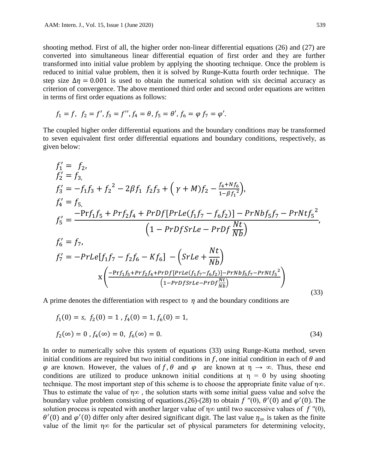shooting method. First of all, the higher order non-linear differential equations (26) and (27) are converted into simultaneous linear differential equation of first order and they are further transformed into initial value problem by applying the shooting technique. Once the problem is reduced to initial value problem, then it is solved by Runge-Kutta fourth order technique. The step size  $\Delta \eta = 0.001$  is used to obtain the numerical solution with six decimal accuracy as criterion of convergence. The above mentioned third order and second order equations are written in terms of first order equations as follows:

$$
f_1 = f
$$
,  $f_2 = f'$ ,  $f_3 = f''$ ,  $f_4 = \theta$ ,  $f_5 = \theta'$ ,  $f_6 = \varphi f_7 = \varphi'$ .

The coupled higher order differential equations and the boundary conditions may be transformed to seven equivalent first order differential equations and boundary conditions, respectively, as given below:

$$
f'_{1} = f_{2},
$$
  
\n
$$
f'_{2} = f_{3},
$$
  
\n
$$
f'_{3} = -f_{1}f_{3} + f_{2}^{2} - 2\beta f_{1} f_{2}f_{3} + (\gamma + M)f_{2} - \frac{f_{4} + Nf_{6}}{1 - \beta f_{1}^{2}}),
$$
  
\n
$$
f'_{4} = f_{5},
$$
  
\n
$$
f'_{5} = \frac{-\Pr f_{1}f_{5} + \Pr f_{2}f_{4} + \Pr Df[\Pr Le(f_{1}f_{7} - f_{6}f_{2})] - \Pr Nbff_{5}f_{7} - \Pr Ntf_{5}^{2}}{(1 - \Pr Df SrLe - \Pr Df \frac{Nt}{Nb})},
$$
  
\n
$$
f'_{6} = f_{7},
$$
  
\n
$$
f'_{7} = -\Pr Le[f_{1}f_{7} - f_{2}f_{6} - Kf_{6}] - (SrLe + \frac{Nt}{Nb})
$$
  
\n
$$
x \left( \frac{-\Pr f_{1}f_{5} + \Pr f_{2}f_{4} + \Pr Df[\Pr Le(f_{1}f_{7} - f_{6}f_{2})] - \Pr Nbff_{5}f_{7} - \Pr Ntf_{5}^{2}}{(1 - \Pr Df SrLe - \Pr Df \frac{Nt}{Nb})}} \right)
$$
  
\n(33)

A prime denotes the differentiation with respect to  $\eta$  and the boundary conditions are

$$
f_1(0) = s, f_2(0) = 1, f_4(0) = 1, f_6(0) = 1,
$$
  

$$
f_2(\infty) = 0, f_4(\infty) = 0, f_6(\infty) = 0.
$$
 (34)

In order to numerically solve this system of equations (33) using Runge-Kutta method, seven initial conditions are required but two initial conditions in  $f$ , one initial condition in each of  $\theta$  and  $\varphi$  are known. However, the values of f,  $\theta$  and  $\varphi$  are known at  $\eta \to \infty$ . Thus, these end conditions are utilized to produce unknown initial conditions at  $\eta = 0$  by using shooting technique. The most important step of this scheme is to choose the appropriate finite value of η∞. Thus to estimate the value of  $\eta \infty$ , the solution starts with some initial guess value and solve the boundary value problem consisting of equations.(26)-(28) to obtain  $f''(0)$ ,  $\theta'(0)$  and  $\varphi'(0)$ . The solution process is repeated with another larger value of  $\eta \infty$  until two successive values of  $f''(0)$ ,  $\theta'(0)$  and  $\varphi'(0)$  differ only after desired significant digit. The last value  $\eta_{\infty}$  is taken as the finite value of the limit  $\eta \infty$  for the particular set of physical parameters for determining velocity,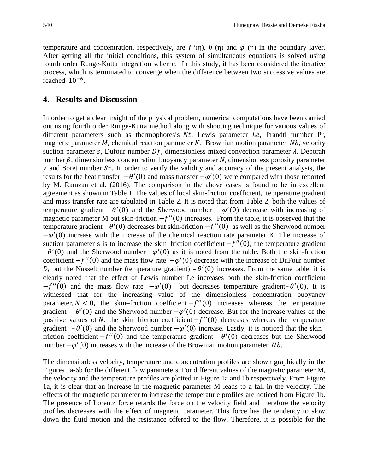temperature and concentration, respectively, are  $f'(n)$ ,  $\theta$  ( $n$ ) and  $\varphi$  ( $n$ ) in the boundary layer. After getting all the initial conditions, this system of simultaneous equations is solved using fourth order Runge-Kutta integration scheme. In this study, it has been considered the iterative process, which is terminated to converge when the difference between two successive values are reached 10−6 .

### **4. Results and Discussion**

In order to get a clear insight of the physical problem, numerical computations have been carried out using fourth order Runge-Kutta method along with shooting technique for various values of different parameters such as thermophoresis  $Nt$ , Lewis parameter  $Le$ , Prandtl number Pr, magnetic parameter  $M$ , chemical reaction parameter  $K$ , Brownian motion parameter  $Nb$ , velocity suction parameter s, Dufour number  $Df$ , dimensionless mixed convection parameter  $\lambda$ , Deborah number  $\beta$ , dimensionless concentration buoyancy parameter N, dimensionless porosity parameter  $\gamma$  and Soret number Sr. In order to verify the validity and accuracy of the present analysis, the results for the heat transfer  $-\theta'(0)$  and mass transfer  $-\varphi'(0)$  were compared with those reported by M. Ramzan et al. (2016). The comparison in the above cases is found to be in excellent agreement as shown in Table 1. The values of local skin-friction coefficient, temperature gradient and mass transfer rate are tabulated in Table 2. It is noted that from Table 2, both the values of temperature gradient  $-\theta'(0)$  and the Sherwood number  $-\varphi'(0)$  decrease with increasing of magnetic parameter M but skin-friction  $-f''(0)$  increases. From the table, it is observed that the temperature gradient  $-\theta'(0)$  decreases but skin-friction  $-f''(0)$  as well as the Sherwood number  $-\varphi'(0)$  increase with the increase of the chemical reaction rate parameter K. The increase of suction parameter s is to increase the skin–friction coefficient  $-f''(0)$ , the temperature gradient  $-\theta'(0)$  and the Sherwood number  $-\varphi'(0)$  as it is noted from the table. Both the skin-friction coefficient  $-f''(0)$  and the mass flow rate  $-\varphi'(0)$  decrease with the increase of DuFour number  $D_f$  but the Nusselt number (temperature gradient) –  $\theta'(0)$  increases. From the same table, it is clearly noted that the effect of Lewis number Le increases both the skin-friction coefficient  $-f''(0)$  and the mass flow rate  $-\varphi'(0)$  but decreases temperature gradient- $\theta'(0)$ . It is witnessed that for the increasing value of the dimensionless concentration buoyancy parameter,  $N < 0$ , the skin–friction coefficient  $-f''(0)$  increases whereas the temperature gradient  $-\theta'(0)$  and the Sherwood number  $-\varphi'(0)$  decrease. But for the increase values of the positive values of N, the skin–friction coefficient  $-f''(0)$  decreases whereas the temperature gradient  $-\theta'(0)$  and the Sherwood number  $-\varphi'(0)$  increase. Lastly, it is noticed that the skin– friction coefficient  $-f''(0)$  and the temperature gradient  $-\theta'(0)$  decreases but the Sherwood number  $-\varphi'(0)$  increases with the increase of the Brownian motion parameter *Nb*.

The dimensionless velocity, temperature and concentration profiles are shown graphically in the Figures 1a-6b for the different flow parameters. For different values of the magnetic parameter M, the velocity and the temperature profiles are plotted in Figure 1a and 1b respectively. From Figure 1a, it is clear that an increase in the magnetic parameter M leads to a fall in the velocity. The effects of the magnetic parameter to increase the temperature profiles are noticed from Figure 1b. The presence of Lorentz force retards the force on the velocity field and therefore the velocity profiles decreases with the effect of magnetic parameter. This force has the tendency to slow down the fluid motion and the resistance offered to the flow. Therefore, it is possible for the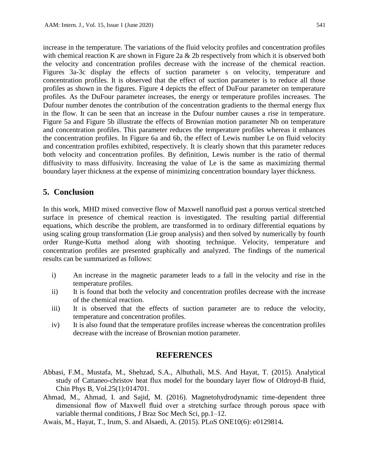increase in the temperature. The variations of the fluid velocity profiles and concentration profiles with chemical reaction K are shown in Figure 2a & 2b respectively from which it is observed both the velocity and concentration profiles decrease with the increase of the chemical reaction. Figures 3a-3c display the effects of suction parameter s on velocity, temperature and concentration profiles. It is observed that the effect of suction parameter is to reduce all those profiles as shown in the figures. Figure 4 depicts the effect of DuFour parameter on temperature profiles. As the DuFour parameter increases, the energy or temperature profiles increases. The Dufour number denotes the contribution of the concentration gradients to the thermal energy flux in the flow. It can be seen that an increase in the Dufour number causes a rise in temperature. Figure 5a and Figure 5b illustrate the effects of Brownian motion parameter Nb on temperature and concentration profiles. This parameter reduces the temperature profiles whereas it enhances the concentration profiles. In Figure 6a and 6b, the effect of Lewis number Le on fluid velocity and concentration profiles exhibited, respectively. It is clearly shown that this parameter reduces both velocity and concentration profiles. By definition, Lewis number is the ratio of thermal diffusivity to mass diffusivity. Increasing the value of Le is the same as maximizing thermal boundary layer thickness at the expense of minimizing concentration boundary layer thickness.

# **5. Conclusion**

In this work, MHD mixed convective flow of Maxwell nanofluid past a porous vertical stretched surface in presence of chemical reaction is investigated. The resulting partial differential equations, which describe the problem, are transformed in to ordinary differential equations by using scaling group transformation (Lie group analysis) and then solved by numerically by fourth order Runge-Kutta method along with shooting technique. Velocity, temperature and concentration profiles are presented graphically and analyzed. The findings of the numerical results can be summarized as follows:

- i) An increase in the magnetic parameter leads to a fall in the velocity and rise in the temperature profiles.
- ii) It is found that both the velocity and concentration profiles decrease with the increase of the chemical reaction.
- iii) It is observed that the effects of suction parameter are to reduce the velocity, temperature and concentration profiles.
- iv) It is also found that the temperature profiles increase whereas the concentration profiles decrease with the increase of Brownian motion parameter.

### **REFERENCES**

- Abbasi, F.M., Mustafa, M., Shehzad, S.A., Alhuthali, M.S. And Hayat, T. (2015). Analytical study of Cattaneo-christov heat flux model for the boundary layer flow of Oldroyd-B fluid, Chin Phys B, Vol.25(1):014701.
- Ahmad, M., Ahmad, I. and Sajid, M. (2016). Magnetohydrodynamic time-dependent three dimensional flow of Maxwell fluid over a stretching surface through porous space with variable thermal conditions, J Braz Soc Mech Sci, pp.1–12.
- Awais, M., Hayat, T., Irum, S. and Alsaedi, A. (2015). PLoS ONE10(6): e0129814**.**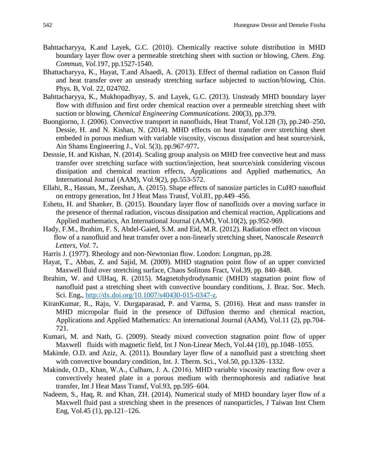- Bahttacharyya, K.and Layek, G.C. (2010). Chemically reactive solute distribution in MHD boundary layer flow over a permeable stretching sheet with suction or blowing, *Chem. Eng. Commun, Vol.*197, pp.1527-1540.
- Bhattacharyya, K., Hayat, T.and Alsaedi, A. (2013). Effect of thermal radiation on Casson fluid and heat transfer over an unsteady stretching surface subjected to suction/blowing, Chin. Phys. B, Vol. 22, 024702.
- Bahttacharyya, K., Mukhopadhyay, S. and Layek, G.C. (2013). Unsteady MHD boundary layer flow with diffusion and first order chemical reaction over a permeable stretching sheet with suction or blowing, *Chemical Engineering Communications.* 200(3), pp.379.
- Buongiorno, J. (2006). Convective transport in nanofluids, Heat Transf, Vol.128 (3), pp.240–250**.** Dessie, H. and N. Kishan, N. (2014). MHD effects on heat transfer over stretching sheet embeded in porous medium with variable viscosity, viscous dissipation and heat source/sink, Ain Shams Engineering J., Vol. 5(3), pp.967-977**.**
- Desssie, H. and Kishan, N. (2014). Scaling group analysis on MHD free convective heat and mass transfer over stretching surface with suction/injection, heat source/sink considering viscous dissipation and chemical reaction effects, Applications and Applied mathematics, An International Journal (AAM), Vol.9(2), pp.553-572.
- Ellahi, R., Hassan, M., Zeeshan, A. (2015). Shape effects of nanosize particles in CuHO nanofluid on entropy generation, Int J Heat Mass Transf, Vol.81, pp.449–456.
- Eshetu, H. and Shanker, B. (2015). Boundary layer flow of nanofluids over a moving surface in the presence of thermal radiation, viscous dissipation and chemical reaction, Applications and Applied mathematics, An International Journal (AAM), Vol.10(2), pp.952-969.
- Hady, F.M., Ibrahim, F. S, Abdel-Gaied, S.M. and Eid, M.R. (2012). Radiation effect on viscous flow of a nanofluid and heat transfer over a non-linearly stretching sheet, Nanoscale *Research Letters, Vol.* 7**.**
- Harris J. (1977). Rheology and non-Newtonian flow. London: Longman, pp.28.
- Hayat, T., Abbas, Z. and Sajid, M. (2009). MHD stagnation point flow of an upper convicted Maxwell fluid over stretching surface, Chaos Solitons Fract, Vol.39, pp. 840–848.
- Ibrahim, W. and UlHaq, R. (2015). Magnetohydrodynamic (MHD) stagnation point flow of nanofluid past a stretching sheet with convective boundary conditions, J. Braz. Soc. Mech. Sci. Eng**.**, <http://dx.doi.org/10.1007/s40430-015-0347-z>.
- KiranKumar, R., Raju, V. Durgaparasad, P. and Varma, S. (2016). Heat and mass transfer in MHD micropolar fluid in the presence of Diffusion thermo and chemical reaction, Applications and Applied Mathematics: An international Journal (AAM), Vol.11 (2), pp.704- 721.
- Kumari, M. and Nath, G. (2009). Steady mixed convection stagnation point flow of upper Maxwell fluids with magnetic field, Int J Non-Linear Mech, Vol.44 (10), pp.1048–1055.
- Makinde. O.D. and Aziz, A. (2011). Boundary layer flow of a nanofluid past a stretching sheet with convective boundary condition, Int. J. Therm. Sci., Vol.50, pp.1326–1332.
- Makinde, O.D., Khan, W.A., Culham, J. A. (2016). MHD variable viscosity reacting flow over a convectively heated plate in a porous medium with thermophoresis and radiative heat transfer, Int J Heat Mass Transf, Vol.93, pp.595–604.
- Nadeem, S., Haq, R. and Khan, ZH. (2014). Numerical study of MHD boundary layer flow of a Maxwell fluid past a stretching sheet in the presences of nanoparticles, J Taiwan Inst Chem Eng, Vol.45 (1), pp.121–126.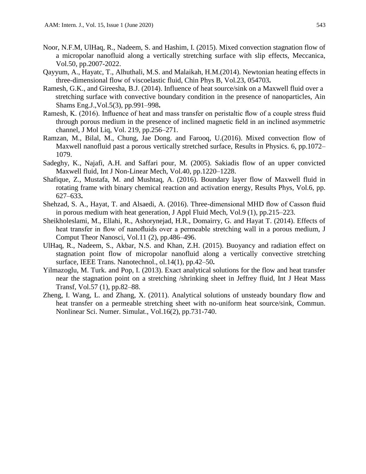- Noor, N.F.M, UlHaq, R., Nadeem, S. and Hashim, I. (2015). Mixed convection stagnation flow of a micropolar nanofluid along a vertically stretching surface with slip effects, Meccanica, Vol.50, pp.2007-2022.
- Qayyum, A., Hayatc, T., Alhuthali, M.S. and Malaikah, H.M.(2014). Newtonian heating effects in three-dimensional flow of viscoelastic fluid, Chin Phys B, Vol.23, 054703**.**
- Ramesh, G.K., and Gireesha, B.J. (2014). Influence of heat source/sink on a Maxwell fluid over a stretching surface with convective boundary condition in the presence of nanoparticles, Ain Shams Eng.J.,Vol.5(3), pp.991–998**.**
- Ramesh, K. (2016). Influence of heat and mass transfer on peristaltic flow of a couple stress fluid through porous medium in the presence of inclined magnetic field in an inclined asymmetric channel, J Mol Liq, Vol. 219, pp.256–271.
- Ramzan, M., Bilal, M., Chung, Jae Dong. and Farooq, U.(2016). Mixed convection flow of Maxwell nanofluid past a porous vertically stretched surface, Results in Physics. 6, pp.1072– 1079.
- Sadeghy, K., Najafi, A.H. and Saffari pour, M. (2005). Sakiadis flow of an upper convicted Maxwell fluid, Int J Non-Linear Mech, Vol.40, pp.1220–1228.
- Shafique, Z., Mustafa, M. and Mushtaq, A. (2016). Boundary layer flow of Maxwell fluid in rotating frame with binary chemical reaction and activation energy, Results Phys, Vol.6, pp. 627–633**.**
- Shehzad, S. A., Hayat, T. and Alsaedi, A. (2016). Three-dimensional MHD flow of Casson fluid in porous medium with heat generation, J Appl Fluid Mech, Vol.9 (1), pp.215–223.
- Sheikholeslami, M., Ellahi, R., Ashorynejad, H.R., Domairry, G. and Hayat T. (2014). Effects of heat transfer in flow of nanofluids over a permeable stretching wall in a porous medium, J Comput Theor Nanosci, Vol.11 (2), pp.486–496.
- UlHaq, R., Nadeem, S., Akbar, N.S. and Khan, Z.H. (2015). Buoyancy and radiation effect on stagnation point flow of micropolar nanofluid along a vertically convective stretching surface, IEEE Trans. Nanotechnol., ol.14(1), pp.42–50**.**
- Yilmazoglu, M. Turk. and Pop, I. (2013). Exact analytical solutions for the flow and heat transfer near the stagnation point on a stretching /shrinking sheet in Jeffrey fluid, Int J Heat Mass Transf, Vol.57 (1), pp.82–88.
- Zheng, I. Wang, L. and Zhang, X. (2011). Analytical solutions of unsteady boundary flow and heat transfer on a permeable stretching sheet with no-uniform heat source/sink, Commun. Nonlinear Sci. Numer. Simulat., Vol.16(2), pp.731-740.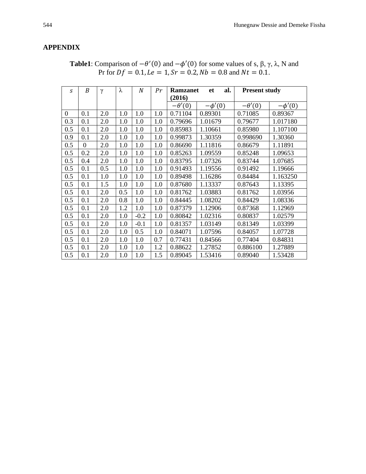# **APPENDIX**

| S            | B        | $\gamma$ | λ   | N      | Pr  | al.<br><b>Ramzanet</b><br>et |             | <b>Present study</b> |             |
|--------------|----------|----------|-----|--------|-----|------------------------------|-------------|----------------------|-------------|
|              |          |          |     |        |     | (2016)                       |             |                      |             |
|              |          |          |     |        |     | $-\theta'(0)$                | $-\phi'(0)$ | $-\theta'(0)$        | $-\phi'(0)$ |
| $\mathbf{0}$ | 0.1      | 2.0      | 1.0 | 1.0    | 1.0 | 0.71104                      | 0.89301     | 0.71085              | 0.89367     |
| 0.3          | 0.1      | 2.0      | 1.0 | 1.0    | 1.0 | 0.79696                      | 1.01679     | 0.79677              | 1.017180    |
| 0.5          | 0.1      | 2.0      | 1.0 | 1.0    | 1.0 | 0.85983                      | 1.10661     | 0.85980              | 1.107100    |
| 0.9          | 0.1      | 2.0      | 1.0 | 1.0    | 1.0 | 0.99873                      | 1.30359     | 0.998690             | 1.30360     |
| 0.5          | $\Omega$ | 2.0      | 1.0 | 1.0    | 1.0 | 0.86690                      | 1.11816     | 0.86679              | 1.11891     |
| 0.5          | 0.2      | 2.0      | 1.0 | 1.0    | 1.0 | 0.85263                      | 1.09559     | 0.85248              | 1.09653     |
| 0.5          | 0.4      | 2.0      | 1.0 | 1.0    | 1.0 | 0.83795                      | 1.07326     | 0.83744              | 1.07685     |
| 0.5          | 0.1      | 0.5      | 1.0 | 1.0    | 1.0 | 0.91493                      | 1.19556     | 0.91492              | 1.19666     |
| 0.5          | 0.1      | 1.0      | 1.0 | 1.0    | 1.0 | 0.89498                      | 1.16286     | 0.84484              | 1.163250    |
| 0.5          | 0.1      | 1.5      | 1.0 | 1.0    | 1.0 | 0.87680                      | 1.13337     | 0.87643              | 1.13395     |
| 0.5          | 0.1      | 2.0      | 0.5 | 1.0    | 1.0 | 0.81762                      | 1.03883     | 0.81762              | 1.03956     |
| 0.5          | 0.1      | 2.0      | 0.8 | 1.0    | 1.0 | 0.84445                      | 1.08202     | 0.84429              | 1.08336     |
| 0.5          | 0.1      | 2.0      | 1.2 | 1.0    | 1.0 | 0.87379                      | 1.12906     | 0.87368              | 1.12969     |
| 0.5          | 0.1      | 2.0      | 1.0 | $-0.2$ | 1.0 | 0.80842                      | 1.02316     | 0.80837              | 1.02579     |
| 0.5          | 0.1      | 2.0      | 1.0 | $-0.1$ | 1.0 | 0.81357                      | 1.03149     | 0.81349              | 1.03399     |
| 0.5          | 0.1      | 2.0      | 1.0 | 0.5    | 1.0 | 0.84071                      | 1.07596     | 0.84057              | 1.07728     |
| 0.5          | 0.1      | 2.0      | 1.0 | 1.0    | 0.7 | 0.77431                      | 0.84566     | 0.77404              | 0.84831     |
| 0.5          | 0.1      | 2.0      | 1.0 | 1.0    | 1.2 | 0.88622                      | 1.27852     | 0.886100             | 1.27889     |
| 0.5          | 0.1      | 2.0      | 1.0 | 1.0    | 1.5 | 0.89045                      | 1.53416     | 0.89040              | 1.53428     |

**Table1**: Comparison of  $-\theta'(0)$  and  $-\phi'(0)$  for some values of s,  $\beta$ ,  $\gamma$ ,  $\lambda$ , N and Pr for  $Df = 0.1$ ,  $Le = 1$ ,  $Sr = 0.2$ ,  $Nb = 0.8$  and  $Nt = 0.1$ .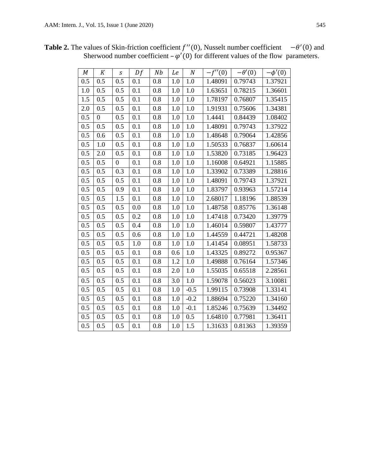| M                | K              | $\mathcal{S}$    | Df  | N <sub>b</sub> | Le  | $\boldsymbol{N}$ | $-f''(0)$ | $-\theta'(0)$ | $-\phi'(0)$ |
|------------------|----------------|------------------|-----|----------------|-----|------------------|-----------|---------------|-------------|
| $0.5\,$          | 0.5            | 0.5              | 0.1 | 0.8            | 1.0 | 1.0              | 1.48091   | 0.79743       | 1.37921     |
| $\overline{1.0}$ | 0.5            | 0.5              | 0.1 | 0.8            | 1.0 | 1.0              | 1.63651   | 0.78215       | 1.36601     |
| $\overline{1.5}$ | 0.5            | 0.5              | 0.1 | 0.8            | 1.0 | 1.0              | 1.78197   | 0.76807       | 1.35415     |
| 2.0              | 0.5            | 0.5              | 0.1 | 0.8            | 1.0 | 1.0              | 1.91931   | 0.75606       | 1.34381     |
| 0.5              | $\overline{0}$ | 0.5              | 0.1 | 0.8            | 1.0 | 1.0              | 1.4441    | 0.84439       | 1.08402     |
| $\overline{0.5}$ | 0.5            | 0.5              | 0.1 | 0.8            | 1.0 | 1.0              | 1.48091   | 0.79743       | 1.37922     |
| $\overline{0.5}$ | 0.6            | 0.5              | 0.1 | 0.8            | 1.0 | 1.0              | 1.48648   | 0.79064       | 1.42856     |
| $0.5\,$          | 1.0            | 0.5              | 0.1 | 0.8            | 1.0 | 1.0              | 1.50533   | 0.76837       | 1.60614     |
| $0.5\,$          | 2.0            | 0.5              | 0.1 | 0.8            | 1.0 | 1.0              | 1.53820   | 0.73185       | 1.96423     |
| $\overline{0.5}$ | 0.5            | $\boldsymbol{0}$ | 0.1 | 0.8            | 1.0 | 1.0              | 1.16008   | 0.64921       | 1.15885     |
| 0.5              | 0.5            | 0.3              | 0.1 | 0.8            | 1.0 | 1.0              | 1.33902   | 0.73389       | 1.28816     |
| $0.5\,$          | 0.5            | 0.5              | 0.1 | 0.8            | 1.0 | 1.0              | 1.48091   | 0.79743       | 1.37921     |
| $\overline{0.5}$ | 0.5            | 0.9              | 0.1 | 0.8            | 1.0 | 1.0              | 1.83797   | 0.93963       | 1.57214     |
| $\overline{0.5}$ | 0.5            | 1.5              | 0.1 | 0.8            | 1.0 | 1.0              | 2.68017   | 1.18196       | 1.88539     |
| $0.5\,$          | 0.5            | 0.5              | 0.0 | 0.8            | 1.0 | 1.0              | 1.48758   | 0.85776       | 1.36148     |
| 0.5              | 0.5            | 0.5              | 0.2 | 0.8            | 1.0 | 1.0              | 1.47418   | 0.73420       | 1.39779     |
| $0.5\,$          | 0.5            | 0.5              | 0.4 | 0.8            | 1.0 | 1.0              | 1.46014   | 0.59807       | 1.43777     |
| $\overline{0.5}$ | 0.5            | 0.5              | 0.6 | 0.8            | 1.0 | 1.0              | 1.44559   | 0.44721       | 1.48208     |
| $\overline{0.5}$ | 0.5            | 0.5              | 1.0 | 0.8            | 1.0 | 1.0              | 1.41454   | 0.08951       | 1.58733     |
| 0.5              | 0.5            | 0.5              | 0.1 | 0.8            | 0.6 | 1.0              | 1.43325   | 0.89272       | 0.95367     |
| $\overline{0.5}$ | 0.5            | 0.5              | 0.1 | 0.8            | 1.2 | 1.0              | 1.49888   | 0.76164       | 1.57346     |
| 0.5              | 0.5            | 0.5              | 0.1 | 0.8            | 2.0 | 1.0              | 1.55035   | 0.65518       | 2.28561     |
| $\overline{0.5}$ | 0.5            | 0.5              | 0.1 | 0.8            | 3.0 | 1.0              | 1.59078   | 0.56023       | 3.10081     |
| $0.5\,$          | 0.5            | 0.5              | 0.1 | 0.8            | 1.0 | $-0.5$           | 1.99115   | 0.73908       | 1.33141     |
| $0.5\,$          | 0.5            | 0.5              | 0.1 | 0.8            | 1.0 | $-0.2$           | 1.88694   | 0.75220       | 1.34160     |
| $\overline{0.5}$ | 0.5            | 0.5              | 0.1 | 0.8            | 1.0 | $-0.1$           | 1.85246   | 0.75639       | 1.34492     |

0.5 0.5 0.5 0.1 0.8 1.0 0.5 1.64810 0.77981 1.36411 0.5 0.5 0.5 0.1 0.8 1.0 1.5 1.31633 0.81363 1.39359

**Table 2.** The values of Skin-friction coefficient  $f''(0)$ , Nusselt number coefficient  $-\theta'(0)$  and Sherwood number coefficient  $-\varphi'(0)$  for different values of the flow parameters.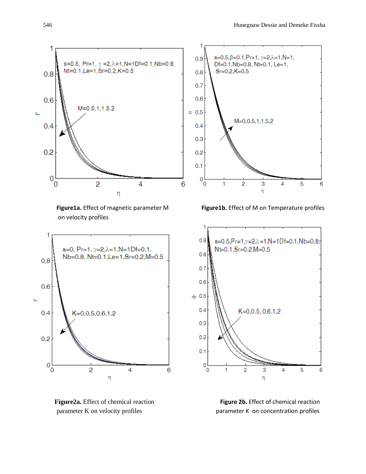

on velocity profiles





**Figure1a.** Effect of magnetic parameter M **Figure1b.** Effect of M on Temperature profiles



 **Figure2a.** Effect of chemical reaction **Figure 2b.** Effect of chemical reaction parameter K on velocity profiles **parameter K** on concentration profiles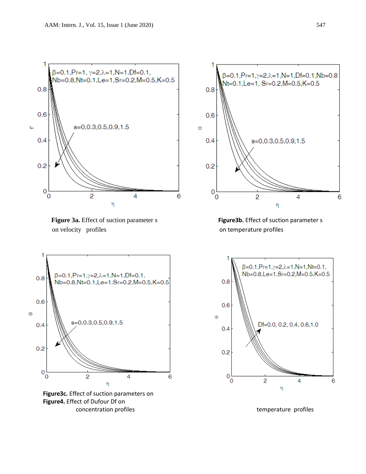

**Figure 3a.** Effect of suction parameter s **Figure3b.** Effect of suction parameter s on velocity profiles on temperature profiles



**Figure3c.** Effect of suction parameters on **Figure4.** Effect of Dufour Df on concentration profiles temperature profiles



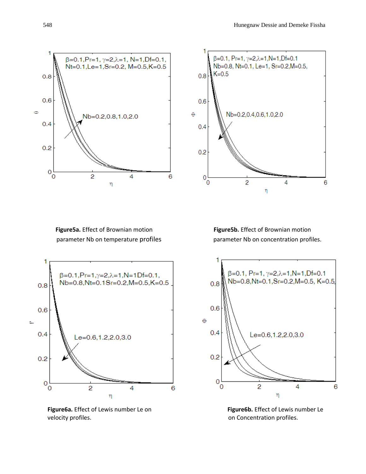



**Figure5a.** Effect of Brownian motion **Figure5b.** Effect of Brownian motion



**Figure6a.** Effect of Lewis number Le on **Figure6b.** Effect of Lewis number Le velocity profiles. The concentration profiles on Concentration profiles.

parameter Nb on temperature profiles parameter Nb on concentration profiles.